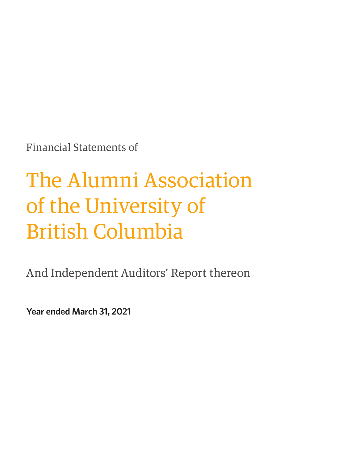Financial Statements of

# The Alumni Association of the University of British Columbia

And Independent Auditors' Report thereon

**Year ended March 31, 2021**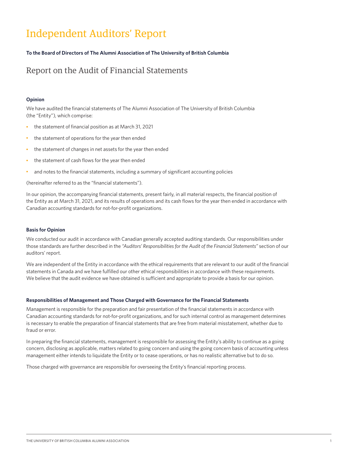# Independent Auditors' Report

#### **To the Board of Directors of The Alumni Association of The University of British Columbia**

### Report on the Audit of Financial Statements

#### **Opinion**

We have audited the financial statements of The Alumni Association of The University of British Columbia (the "Entity"), which comprise:

- · the statement of financial position as at March 31, 2021
- · the statement of operations for the year then ended
- · the statement of changes in net assets for the year then ended
- the statement of cash flows for the year then ended
- and notes to the financial statements, including a summary of significant accounting policies

(hereinafter referred to as the "financial statements").

In our opinion, the accompanying financial statements, present fairly, in all material respects, the financial position of the Entity as at March 31, 2021, and its results of operations and its cash flows for the year then ended in accordance with Canadian accounting standards for not-for-profit organizations.

#### **Basis for Opinion**

We conducted our audit in accordance with Canadian generally accepted auditing standards. Our responsibilities under those standards are further described in the *"Auditors' Responsibilities for the Audit of the Financial Statements"* section of our auditors' report.

We are independent of the Entity in accordance with the ethical requirements that are relevant to our audit of the financial statements in Canada and we have fulfilled our other ethical responsibilities in accordance with these requirements. We believe that the audit evidence we have obtained is sufficient and appropriate to provide a basis for our opinion.

#### **Responsibilities of Management and Those Charged with Governance for the Financial Statements**

Management is responsible for the preparation and fair presentation of the financial statements in accordance with Canadian accounting standards for not-for-profit organizations, and for such internal control as management determines is necessary to enable the preparation of financial statements that are free from material misstatement, whether due to fraud or error.

In preparing the financial statements, management is responsible for assessing the Entity's ability to continue as a going concern, disclosing as applicable, matters related to going concern and using the going concern basis of accounting unless management either intends to liquidate the Entity or to cease operations, or has no realistic alternative but to do so.

Those charged with governance are responsible for overseeing the Entity's financial reporting process.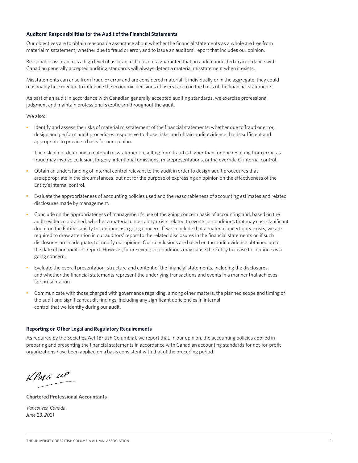#### **Auditors' Responsibilities for the Audit of the Financial Statements**

Our objectives are to obtain reasonable assurance about whether the financial statements as a whole are free from material misstatement, whether due to fraud or error, and to issue an auditors' report that includes our opinion.

Reasonable assurance is a high level of assurance, but is not a guarantee that an audit conducted in accordance with Canadian generally accepted auditing standards will always detect a material misstatement when it exists.

Misstatements can arise from fraud or error and are considered material if, individually or in the aggregate, they could reasonably be expected to influence the economic decisions of users taken on the basis of the financial statements.

As part of an audit in accordance with Canadian generally accepted auditing standards, we exercise professional judgment and maintain professional skepticism throughout the audit.

#### We also:

· Identify and assess the risks of material misstatement of the financial statements, whether due to fraud or error, design and perform audit procedures responsive to those risks, and obtain audit evidence that is sufficient and appropriate to provide a basis for our opinion.

 The risk of not detecting a material misstatement resulting from fraud is higher than for one resulting from error, as fraud may involve collusion, forgery, intentional omissions, misrepresentations, or the override of internal control.

- · Obtain an understanding of internal control relevant to the audit in order to design audit procedures that are appropriate in the circumstances, but not for the purpose of expressing an opinion on the effectiveness of the Entity's internal control.
- · Evaluate the appropriateness of accounting policies used and the reasonableness of accounting estimates and related disclosures made by management.
- Conclude on the appropriateness of management's use of the going concern basis of accounting and, based on the audit evidence obtained, whether a material uncertainty exists related to events or conditions that may cast significant doubt on the Entity's ability to continue as a going concern. If we conclude that a material uncertainty exists, we are required to draw attention in our auditors' report to the related disclosures in the financial statements or, if such disclosures are inadequate, to modify our opinion. Our conclusions are based on the audit evidence obtained up to the date of our auditors' report. However, future events or conditions may cause the Entity to cease to continue as a going concern.
- Evaluate the overall presentation, structure and content of the financial statements, including the disclosures, and whether the financial statements represent the underlying transactions and events in a manner that achieves fair presentation.
- Communicate with those charged with governance regarding, among other matters, the planned scope and timing of the audit and significant audit findings, including any significant deficiencies in internal control that we identify during our audit.

#### **Reporting on Other Legal and Regulatory Requirements**

As required by the Societies Act (British Columbia), we report that, in our opinion, the accounting policies applied in preparing and presenting the financial statements in accordance with Canadian accounting standards for not-for-profit organizations have been applied on a basis consistent with that of the preceding period.

 $k$ *PMG 14P* 

**Chartered Professional Accountants**

*Vancouver, Canada June 23, 2021*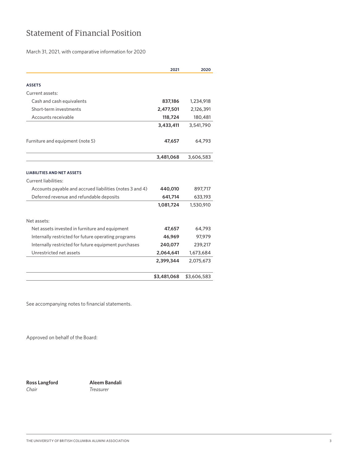# Statement of Financial Position

March 31, 2021, with comparative information for 2020

|                                                                  | 2021        | 2020        |
|------------------------------------------------------------------|-------------|-------------|
| <b>ASSETS</b>                                                    |             |             |
| Current assets:                                                  |             |             |
| Cash and cash equivalents                                        | 837,186     | 1,234,918   |
| Short-term investments                                           | 2,477,501   | 2,126,391   |
| Accounts receivable                                              | 118,724     | 180,481     |
|                                                                  | 3,433,411   | 3,541,790   |
| Furniture and equipment (note 5)                                 | 47,657      | 64,793      |
|                                                                  | 3,481,068   | 3,606,583   |
| <b>LIABILITIES AND NET ASSETS</b><br><b>Current liabilities:</b> |             |             |
| Accounts payable and accrued liabilities (notes 3 and 4)         | 440,010     | 897,717     |
| Deferred revenue and refundable deposits                         | 641,714     | 633,193     |
|                                                                  | 1,081,724   | 1,530,910   |
| Net assets:                                                      |             |             |
| Net assets invested in furniture and equipment                   | 47,657      | 64,793      |
| Internally restricted for future operating programs              | 46,969      | 97,979      |
| Internally restricted for future equipment purchases             | 240,077     | 239,217     |
| Unrestricted net assets                                          | 2,064,641   | 1,673,684   |
|                                                                  | 2,399,344   | 2,075,673   |
|                                                                  | \$3,481,068 | \$3,606,583 |

See accompanying notes to financial statements.

Approved on behalf of the Board:

*Chair Treasurer*

**Ross Langford Aleem Bandali**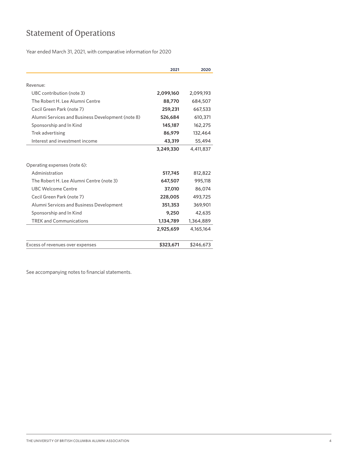# Statement of Operations

Year ended March 31, 2021, with comparative information for 2020

|                                                   | 2021      | 2020      |
|---------------------------------------------------|-----------|-----------|
|                                                   |           |           |
| Revenue:                                          |           |           |
| UBC contribution (note 3)                         | 2,099,160 | 2,099,193 |
| The Robert H. Lee Alumni Centre                   | 88,770    | 684,507   |
| Cecil Green Park (note 7)                         | 259,231   | 667,533   |
| Alumni Services and Business Development (note 8) | 526,684   | 610,371   |
| Sponsorship and In Kind                           | 145,187   | 162,275   |
| Trek advertising                                  | 86,979    | 132,464   |
| Interest and investment income                    | 43,319    | 55,494    |
|                                                   | 3,249,330 | 4,411,837 |
|                                                   |           |           |
| Operating expenses (note 6):                      |           |           |
| Administration                                    | 517,745   | 812,822   |
| The Robert H. Lee Alumni Centre (note 3)          | 647,507   | 995,118   |
| <b>UBC Welcome Centre</b>                         | 37,010    | 86,074    |
| Cecil Green Park (note 7)                         | 228,005   | 493,725   |
| <b>Alumni Services and Business Development</b>   | 351,353   | 369,901   |
| Sponsorship and In Kind                           | 9,250     | 42,635    |
| <b>TREK and Communications</b>                    | 1,134,789 | 1,364,889 |
|                                                   | 2,925,659 | 4,165,164 |
|                                                   |           |           |
| Excess of revenues over expenses                  | \$323,671 | \$246,673 |

See accompanying notes to financial statements.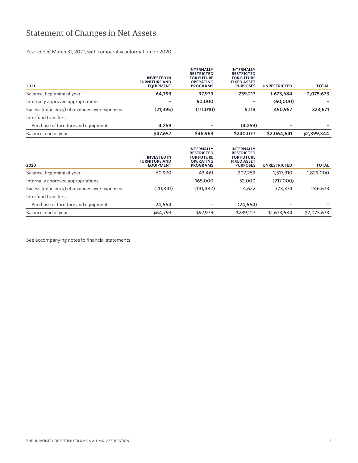# Statement of Changes in Net Assets

Year ended March 31, 2021, with comparative information for 2020

| 2021                                          | <b>INVESTED IN</b><br><b>FURNITURE AND</b><br><b>EOUIPMENT</b> | <b>INTERNALLY</b><br><b>RESTRICTED</b><br><b>FOR FUTURE</b><br><b>OPERATING</b><br><b>PROGRAMS</b> | <b>INTERNALLY</b><br><b>RESTRICTED</b><br><b>FOR FUTURE</b><br><b>FIXED ASSET</b><br><b>PURPOSES</b> | <b>UNRESTRICTED</b> | <b>TOTAL</b> |
|-----------------------------------------------|----------------------------------------------------------------|----------------------------------------------------------------------------------------------------|------------------------------------------------------------------------------------------------------|---------------------|--------------|
| Balance, beginning of year                    | 64,793                                                         | 97,979                                                                                             | 239,217                                                                                              | 1,673,684           | 2,075,673    |
| Internally approved appropriations            | -                                                              | 60,000                                                                                             |                                                                                                      | (60,000)            |              |
| Excess (deficiency) of revenues over expenses | (21, 395)                                                      | (111, 010)                                                                                         | 5.119                                                                                                | 450,957             | 323,671      |
| Interfund transfers:                          |                                                                |                                                                                                    |                                                                                                      |                     |              |
| Purchase of furniture and equipment           | 4,259                                                          | $\overline{\phantom{a}}$                                                                           | (4,259)                                                                                              | -                   |              |
| Balance, end of year                          | \$47,657                                                       | \$46,969                                                                                           | \$240,077                                                                                            | \$2,064,641         | \$2,399,344  |

| 2020                                          | <b>INVESTED IN</b><br><b>FURNITURE AND</b><br><b>EOUIPMENT</b> | <b>INTERNALLY</b><br><b>RESTRICTED</b><br><b>FOR FUTURE</b><br><b>OPERATING</b><br><b>PROGRAMS</b> | <b>INTERNALLY</b><br><b>RESTRICTED</b><br><b>FOR FUTURE</b><br><b>FIXED ASSET</b><br><b>PURPOSES</b> | UNRESTRICTED | <b>TOTAL</b> |
|-----------------------------------------------|----------------------------------------------------------------|----------------------------------------------------------------------------------------------------|------------------------------------------------------------------------------------------------------|--------------|--------------|
| Balance, beginning of year                    | 60,970                                                         | 43,461                                                                                             | 207,259                                                                                              | 1,517,310    | 1,829,000    |
| Internally approved appropriations            |                                                                | 165,000                                                                                            | 52,000                                                                                               | (217,000)    |              |
| Excess (deficiency) of revenues over expenses | (20,841)                                                       | (110.482)                                                                                          | 4,622                                                                                                | 373,374      | 246,673      |
| Interfund transfers:                          |                                                                |                                                                                                    |                                                                                                      |              |              |
| Purchase of furniture and equipment           | 24,664                                                         |                                                                                                    | (24, 664)                                                                                            |              |              |
| Balance, end of year                          | \$64,793                                                       | \$97,979                                                                                           | \$239,217                                                                                            | \$1,673,684  | \$2,075,673  |

See accompanying notes to financial statements.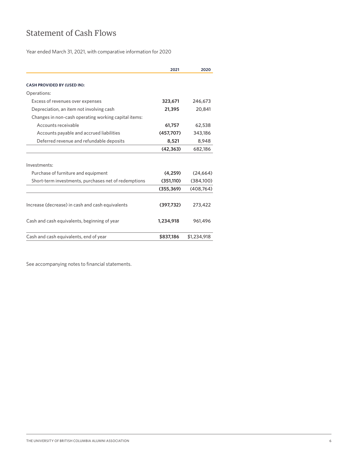# Statement of Cash Flows

Year ended March 31, 2021, with comparative information for 2020

|                                                      | 2021       | 2020        |
|------------------------------------------------------|------------|-------------|
| <b>CASH PROVIDED BY (USED IN):</b>                   |            |             |
| Operations:                                          |            |             |
| Excess of revenues over expenses                     | 323,671    | 246,673     |
| Depreciation, an item not involving cash             | 21,395     | 20,841      |
| Changes in non-cash operating working capital items: |            |             |
| Accounts receivable                                  | 61,757     | 62,538      |
| Accounts payable and accrued liabilities             | (457,707)  | 343,186     |
| Deferred revenue and refundable deposits             | 8,521      | 8,948       |
|                                                      | (42, 363)  | 682,186     |
|                                                      |            |             |
| Investments:                                         |            |             |
| Purchase of furniture and equipment                  | (4, 259)   | (24, 664)   |
| Short-term investments, purchases net of redemptions | (351, 110) | (384,100)   |
|                                                      | (355, 369) | (408, 764)  |
|                                                      |            |             |
| Increase (decrease) in cash and cash equivalents     | (397, 732) | 273,422     |
|                                                      |            |             |
| Cash and cash equivalents, beginning of year         | 1,234,918  | 961,496     |
|                                                      |            |             |
| Cash and cash equivalents, end of year               | \$837,186  | \$1,234,918 |

See accompanying notes to financial statements.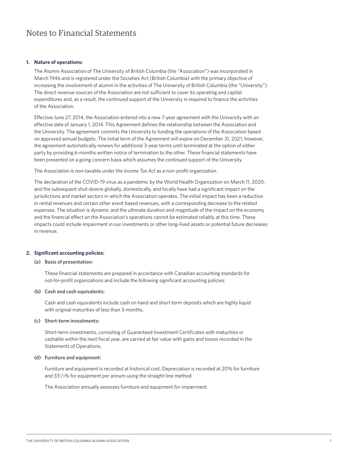## Notes to Financial Statements

#### **1. Nature of operations:**

 The Alumni Association of The University of British Columbia (the "Association") was incorporated in March 1946 and is registered under the Societies Act (British Columbia) with the primary objective of increasing the involvement of alumni in the activities of The University of British Columbia (the "University"). The direct revenue sources of the Association are not sufficient to cover its operating and capital expenditures and, as a result, the continued support of the University is required to finance the activities of the Association.

 Effective June 27, 2014, the Association entered into a new 7-year agreement with the University with an effective date of January 1, 2014. This Agreement defines the relationship between the Association and the University. The agreement commits the University to funding the operations of the Association based on approved annual budgets. The initial term of the Agreement will expire on December 31, 2021; however, the agreement automatically renews for additional 3-year terms until terminated at the option of either party by providing 6-months written notice of termination to the other. These financial statements have been presented on a going concern basis which assumes the continued support of the University.

The Association is non-taxable under the *Income Tax Act* as a non-profit organization.

 The declaration of the COVID-19 virus as a pandemic by the World Health Organization on March 11, 2020, and the subsequent shut-downs globally, domestically, and locally have had a significant impact on the jurisdictions and market sectors in which the Association operates. The initial impact has been a reduction in rental revenues and certain other event based revenues, with a corresponding decrease to the related expenses. The situation is dynamic and the ultimate duration and magnitude of the impact on the economy and the financial effect on the Association's operations cannot be estimated reliably at this time. These impacts could include impairment in our investments or other long-lived assets or potential future decreases in revenue.

#### **2. Significant accounting policies:**

#### **(a) Basis of presentation:**

 These financial statements are prepared in accordance with Canadian accounting standards for not-for-profit organizations and include the following significant accounting policies:

#### **(b) Cash and cash equivalents:**

 Cash and cash equivalents include cash on hand and short-term deposits which are highly liquid with original maturities of less than 3-months.

#### **(c) Short-term investments:**

 Short-term investments, consisting of Guaranteed Investment Certificates with maturities or cashable within the next fiscal year, are carried at fair value with gains and losses recorded in the Statements of Operations.

#### **(d) Furniture and equipment:**

 Furniture and equipment is recorded at historical cost. Depreciation is recorded at 20% for furniture and 331 /3% for equipment per annum using the straight-line method.

The Association annually assesses furniture and equipment for impairment.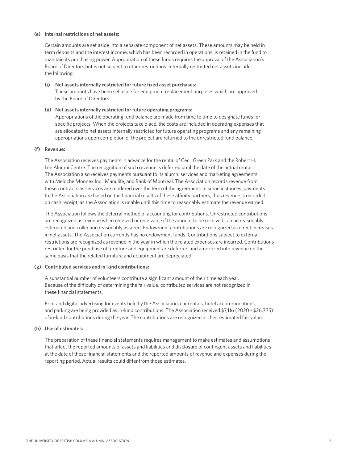#### **(e) Internal restrictions of net assets:**

 Certain amounts are set aside into a separate component of net assets. These amounts may be held in term deposits and the interest income, which has been recorded in operations, is retained in the fund to maintain its purchasing power. Appropriation of these funds requires the approval of the Association's Board of Directors but is not subject to other restrictions. Internally restricted net assets include the following:

- **(i) Net assets internally restricted for future fixed asset purchases:** These amounts have been set aside for equipment replacement purposes which are approved by the Board of Directors.
- **(ii) Net assets internally restricted for future operating programs:**

Appropriations of the operating fund balance are made from time to time to designate funds for specific projects. When the projects take place, the costs are included in operating expenses that are allocated to net assets internally restricted for future operating programs and any remaining appropriations upon completion of the project are returned to the unrestricted fund balance.

#### **(f) Revenue:**

 The Association receives payments in advance for the rental of Cecil Green Park and the Robert H. Lee Alumni Centre. The recognition of such revenue is deferred until the date of the actual rental. The Association also receives payments pursuant to its alumni services and marketing agreements with Meloche Monnex Inc., Manulife, and Bank of Montreal. The Association records revenue from these contracts as services are rendered over the term of the agreement. In some instances, payments to the Association are based on the financial results of these affinity partners, thus revenue is recorded on cash receipt, as the Association is unable until this time to reasonably estimate the revenue earned.

 The Association follows the deferral method of accounting for contributions. Unrestricted contributions are recognized as revenue when received or receivable if the amount to be received can be reasonably estimated and collection reasonably assured. Endowment contributions are recognized as direct increases in net assets. The Association currently has no endowment funds. Contributions subject to external restrictions are recognized as revenue in the year in which the related expenses are incurred. Contributions restricted for the purchase of furniture and equipment are deferred and amortized into revenue on the same basis that the related furniture and equipment are depreciated.

#### **(g) Contributed services and in-kind contributions:**

 A substantial number of volunteers contribute a significant amount of their time each year. Because of the difficulty of determining the fair value, contributed services are not recognized in these financial statements.

 Print and digital advertising for events held by the Association, car rentals, hotel accommodations, and parking are being provided as in-kind contributions. The Association received \$7,116 (2020 - \$26,775) of in-kind contributions during the year. The contributions are recognized at their estimated fair value.

#### **(h) Use of estimates:**

 The preparation of these financial statements requires management to make estimates and assumptions that affect the reported amounts of assets and liabilities and disclosure of contingent assets and liabilities at the date of these financial statements and the reported amounts of revenue and expenses during the reporting period. Actual results could differ from those estimates.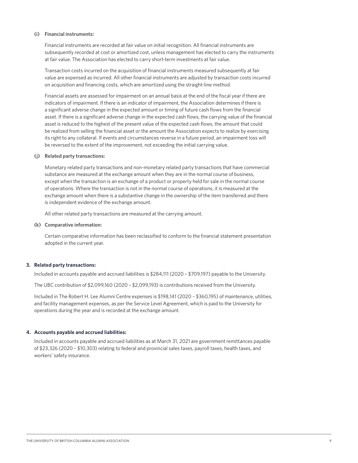#### **(i) Financial instruments:**

 Financial instruments are recorded at fair value on initial recognition. All financial instruments are subsequently recorded at cost or amortized cost, unless management has elected to carry the instruments at fair value. The Association has elected to carry short-term investments at fair value.

 Transaction costs incurred on the acquisition of financial instruments measured subsequently at fair value are expensed as incurred. All other financial instruments are adjusted by transaction costs incurred on acquisition and financing costs, which are amortized using the straight-line method.

 Financial assets are assessed for impairment on an annual basis at the end of the fiscal year if there are indicators of impairment. If there is an indicator of impairment, the Association determines if there is a significant adverse change in the expected amount or timing of future cash flows from the financial asset. If there is a significant adverse change in the expected cash flows, the carrying value of the financial asset is reduced to the highest of the present value of the expected cash flows, the amount that could be realized from selling the financial asset or the amount the Association expects to realize by exercising its right to any collateral. If events and circumstances reverse in a future period, an impairment loss will be reversed to the extent of the improvement, not exceeding the initial carrying value.

#### **(j) Related party transactions:**

 Monetary related party transactions and non-monetary related party transactions that have commercial substance are measured at the exchange amount when they are in the normal course of business, except when the transaction is an exchange of a product or property held for sale in the normal course of operations. Where the transaction is not in the normal course of operations, it is measured at the exchange amount when there is a substantive change in the ownership of the item transferred and there is independent evidence of the exchange amount.

All other related party transactions are measured at the carrying amount.

#### **(k) Comparative information:**

 Certain comparative information has been reclassified to conform to the financial statement presentation adopted in the current year.

#### **3. Related party transactions:**

Included in accounts payable and accrued liabilities is \$284,111 (2020 – \$709,197) payable to the University.

The UBC contribution of \$2,099,160 (2020 – \$2,099,193) is contributions received from the University.

 Included in The Robert H. Lee Alumni Centre expenses is \$198,141 (2020 – \$360,195) of maintenance, utilities, and facility management expenses, as per the Service Level Agreement, which is paid to the University for operations during the year and is recorded at the exchange amount.

#### **4. Accounts payable and accrued liabilities:**

 Included in accounts payable and accrued liabilities as at March 31, 2021 are government remittances payable of \$23,326 (2020 – \$10,303) relating to federal and provincial sales taxes, payroll taxes, health taxes, and workers' safety insurance.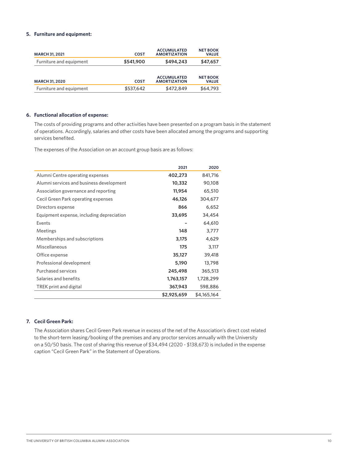#### **5. Furniture and equipment:**

| <b>MARCH 31, 2021</b>   | COST        | <b>ACCUMULATED</b><br><b>AMORTIZATION</b> | <b>NET BOOK</b><br><b>VALUE</b> |
|-------------------------|-------------|-------------------------------------------|---------------------------------|
| Furniture and equipment | \$541,900   | \$494,243                                 | \$47,657                        |
| <b>MARCH 31, 2020</b>   | <b>COST</b> | <b>ACCUMULATED</b><br><b>AMORTIZATION</b> | <b>NET BOOK</b><br><b>VALUE</b> |
| Furniture and equipment | \$537,642   | \$472,849                                 | \$64,793                        |

#### **6. Functional allocation of expense:**

 The costs of providing programs and other activities have been presented on a program basis in the statement of operations. Accordingly, salaries and other costs have been allocated among the programs and supporting services benefited.

The expenses of the Association on an account group basis are as follows:

|                                           | 2021        | 2020        |
|-------------------------------------------|-------------|-------------|
| Alumni Centre operating expenses          | 402,273     | 841,716     |
| Alumni services and business development  | 10,332      | 90,108      |
| Association governance and reporting      | 11,954      | 65,510      |
| Cecil Green Park operating expenses       | 46,126      | 304,677     |
| Directors expense                         | 866         | 6,652       |
| Equipment expense, including depreciation | 33,695      | 34,454      |
| Events                                    |             | 64,610      |
| Meetings                                  | 148         | 3,777       |
| Memberships and subscriptions             | 3,175       | 4,629       |
| Miscellaneous                             | 175         | 3,117       |
| Office expense                            | 35,127      | 39,418      |
| Professional development                  | 5,190       | 13,798      |
| <b>Purchased services</b>                 | 245,498     | 365,513     |
| Salaries and benefits                     | 1,763,157   | 1,728,299   |
| TREK print and digital                    | 367,943     | 598,886     |
|                                           | \$2,925,659 | \$4,165,164 |

#### **7. Cecil Green Park:**

 The Association shares Cecil Green Park revenue in excess of the net of the Association's direct cost related to the short-term leasing/booking of the premises and any proctor services annually with the University on a 50/50 basis. The cost of sharing this revenue of \$34,494 (2020 - \$138,673) is included in the expense caption "Cecil Green Park" in the Statement of Operations.